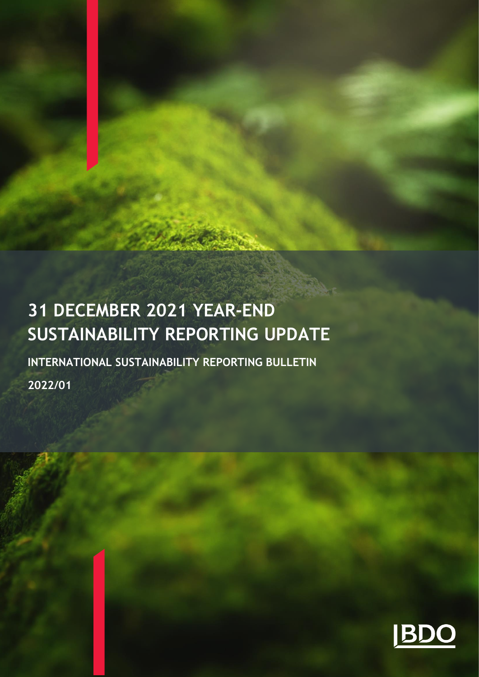# **31 DECEMBER 2021 YEAR-END SUSTAINABILITY REPORTING UPDATE**

**INTERNATIONAL SUSTAINABILITY REPORTING BULLETIN 2022/01**

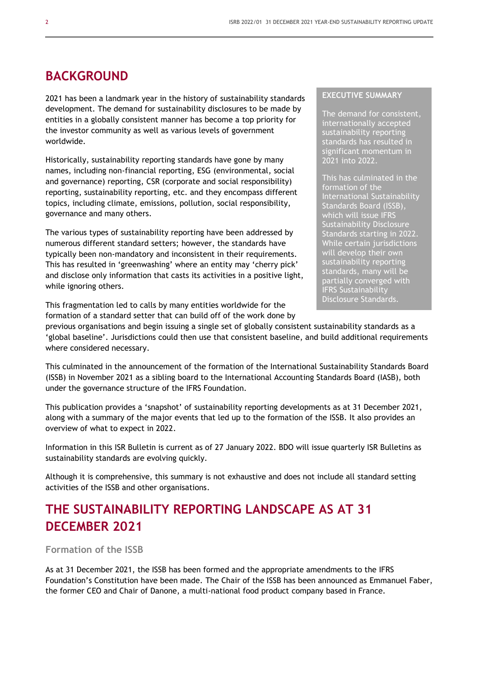### **BACKGROUND**

2021 has been a landmark year in the history of sustainability standards development. The demand for sustainability disclosures to be made by entities in a globally consistent manner has become a top priority for the investor community as well as various levels of government worldwide.

Historically, sustainability reporting standards have gone by many names, including non-financial reporting, ESG (environmental, social and governance) reporting, CSR (corporate and social responsibility) reporting, sustainability reporting, etc. and they encompass different topics, including climate, emissions, pollution, social responsibility, governance and many others.

The various types of sustainability reporting have been addressed by numerous different standard setters; however, the standards have typically been non-mandatory and inconsistent in their requirements. This has resulted in 'greenwashing' where an entity may 'cherry pick' and disclose only information that casts its activities in a positive light, while ignoring others.

This fragmentation led to calls by many entities worldwide for the formation of a standard setter that can build off of the work done by

#### **EXECUTIVE SUMMARY**

The demand for consistent, internationally accepted sustainability reporting standards has resulted in significant momentum in 2021 into 2022.

This has culminated in the formation of the International Sustainability Standards Board (ISSB), which will issue IFRS Sustainability Disclosure Standards starting in 2022. While certain jurisdictions will develop their own sustainability reporting standards, many will be partially converged with IFRS Sustainability Disclosure Standards.

previous organisations and begin issuing a single set of globally consistent sustainability standards as a 'global baseline'. Jurisdictions could then use that consistent baseline, and build additional requirements where considered necessary.

This culminated in the announcement of the formation of the International Sustainability Standards Board (ISSB) in November 2021 as a sibling board to the International Accounting Standards Board (IASB), both under the governance structure of the IFRS Foundation.

This publication provides a 'snapshot' of sustainability reporting developments as at 31 December 2021, along with a summary of the major events that led up to the formation of the ISSB. It also provides an overview of what to expect in 2022.

Information in this ISR Bulletin is current as of 27 January 2022. BDO will issue quarterly ISR Bulletins as sustainability standards are evolving quickly.

Although it is comprehensive, this summary is not exhaustive and does not include all standard setting activities of the ISSB and other organisations.

### **THE SUSTAINABILITY REPORTING LANDSCAPE AS AT 31 DECEMBER 2021**

**Formation of the ISSB**

As at 31 December 2021, the ISSB has been formed and the appropriate amendments to the IFRS Foundation's Constitution have been made. The Chair of the ISSB has been announced as Emmanuel Faber, the former CEO and Chair of Danone, a multi-national food product company based in France.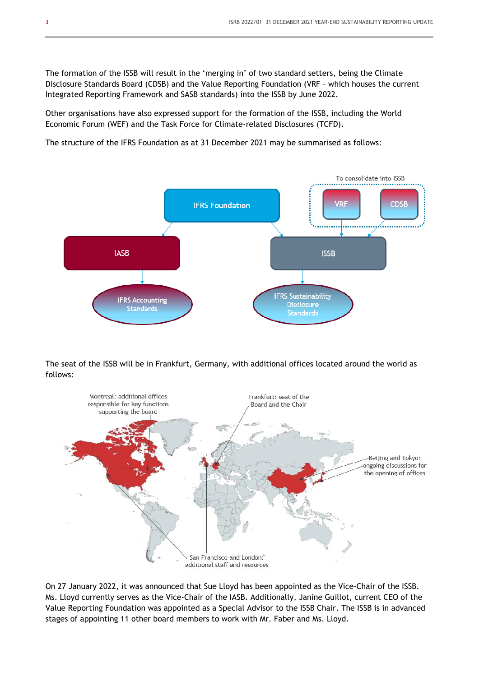The formation of the ISSB will result in the 'merging in' of two standard setters, being the Climate Disclosure Standards Board (CDSB) and the Value Reporting Foundation (VRF – which houses the current Integrated Reporting Framework and SASB standards) into the ISSB by June 2022.

Other organisations have also expressed support for the formation of the ISSB, including the World Economic Forum (WEF) and the Task Force for Climate-related Disclosures (TCFD).

The structure of the IFRS Foundation as at 31 December 2021 may be summarised as follows:



The seat of the ISSB will be in Frankfurt, Germany, with additional offices located around the world as follows:



On 27 January 2022, it was announced that Sue Lloyd has been appointed as the Vice-Chair of the ISSB. Ms. Lloyd currently serves as the Vice-Chair of the IASB. Additionally, Janine Guillot, current CEO of the Value Reporting Foundation was appointed as a Special Advisor to the ISSB Chair. The ISSB is in advanced stages of appointing 11 other board members to work with Mr. Faber and Ms. Lloyd.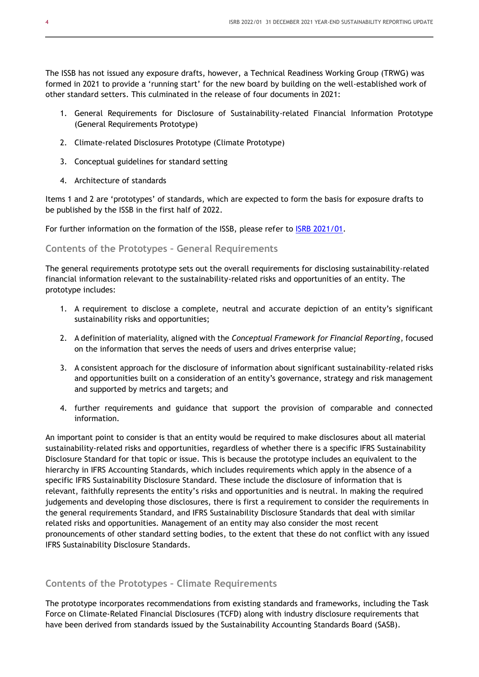The ISSB has not issued any exposure drafts, however, a Technical Readiness Working Group (TRWG) was formed in 2021 to provide a 'running start' for the new board by building on the well-established work of other standard setters. This culminated in the release of four documents in 2021:

- 1. General Requirements for Disclosure of Sustainability-related Financial Information Prototype (General Requirements Prototype)
- 2. Climate-related Disclosures Prototype (Climate Prototype)
- 3. Conceptual guidelines for standard setting
- 4. Architecture of standards

Items 1 and 2 are 'prototypes' of standards, which are expected to form the basis for exposure drafts to be published by the ISSB in the first half of 2022.

For further information on the formation of the ISSB, please refer to [ISRB 2021/01.](https://www.bdo.global/getmedia/22e358bf-f167-40b2-a0a8-5beddae8c807/ISRB-2021-01-ISSB-formed-and-prototype-standards.pdf.aspx)

#### **Contents of the Prototypes – General Requirements**

The general requirements prototype sets out the overall requirements for disclosing sustainability-related financial information relevant to the sustainability-related risks and opportunities of an entity. The prototype includes:

- 1. A requirement to disclose a complete, neutral and accurate depiction of an entity's significant sustainability risks and opportunities;
- 2. A definition of materiality, aligned with the *Conceptual Framework for Financial Reporting*, focused on the information that serves the needs of users and drives enterprise value;
- 3. A consistent approach for the disclosure of information about significant sustainability-related risks and opportunities built on a consideration of an entity's governance, strategy and risk management and supported by metrics and targets; and
- 4. further requirements and guidance that support the provision of comparable and connected information.

An important point to consider is that an entity would be required to make disclosures about all material sustainability-related risks and opportunities, regardless of whether there is a specific IFRS Sustainability Disclosure Standard for that topic or issue. This is because the prototype includes an equivalent to the hierarchy in IFRS Accounting Standards, which includes requirements which apply in the absence of a specific IFRS Sustainability Disclosure Standard. These include the disclosure of information that is relevant, faithfully represents the entity's risks and opportunities and is neutral. In making the required judgements and developing those disclosures, there is first a requirement to consider the requirements in the general requirements Standard, and IFRS Sustainability Disclosure Standards that deal with similar related risks and opportunities. Management of an entity may also consider the most recent pronouncements of other standard setting bodies, to the extent that these do not conflict with any issued IFRS Sustainability Disclosure Standards.

#### **Contents of the Prototypes – Climate Requirements**

The prototype incorporates recommendations from existing standards and frameworks, including the Task Force on Climate-Related Financial Disclosures (TCFD) along with industry disclosure requirements that have been derived from standards issued by the Sustainability Accounting Standards Board (SASB).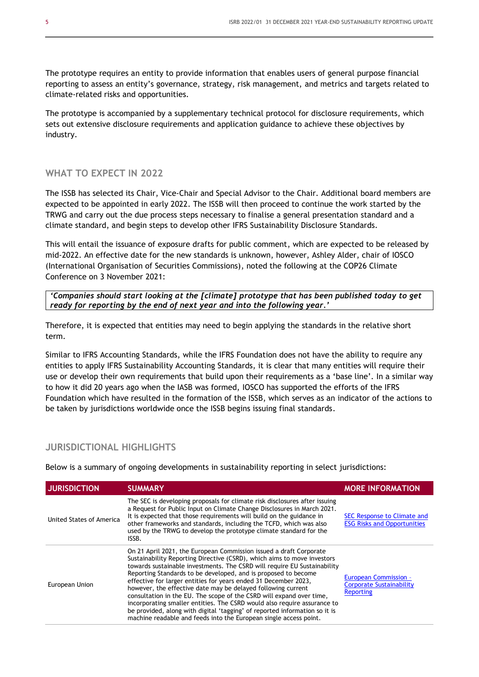The prototype requires an entity to provide information that enables users of general purpose financial reporting to assess an entity's governance, strategy, risk management, and metrics and targets related to climate-related risks and opportunities.

The prototype is accompanied by a supplementary technical protocol for disclosure requirements, which sets out extensive disclosure requirements and application guidance to achieve these objectives by industry.

#### **WHAT TO EXPECT IN 2022**

The ISSB has selected its Chair, Vice-Chair and Special Advisor to the Chair. Additional board members are expected to be appointed in early 2022. The ISSB will then proceed to continue the work started by the TRWG and carry out the due process steps necessary to finalise a general presentation standard and a climate standard, and begin steps to develop other IFRS Sustainability Disclosure Standards.

This will entail the issuance of exposure drafts for public comment, which are expected to be released by mid-2022. An effective date for the new standards is unknown, however, Ashley Alder, chair of IOSCO (International Organisation of Securities Commissions), noted the following at the COP26 Climate Conference on 3 November 2021:

*'Companies should start looking at the [climate] prototype that has been published today to get ready for reporting by the end of next year and into the following year.'*

Therefore, it is expected that entities may need to begin applying the standards in the relative short term.

Similar to IFRS Accounting Standards, while the IFRS Foundation does not have the ability to require any entities to apply IFRS Sustainability Accounting Standards, it is clear that many entities will require their use or develop their own requirements that build upon their requirements as a 'base line'. In a similar way to how it did 20 years ago when the IASB was formed, IOSCO has supported the efforts of the IFRS Foundation which have resulted in the formation of the ISSB, which serves as an indicator of the actions to be taken by jurisdictions worldwide once the ISSB begins issuing final standards.

#### **JURISDICTIONAL HIGHLIGHTS**

Below is a summary of ongoing developments in sustainability reporting in select jurisdictions:

| <b>JURISDICTION</b>      | <b>SUMMARY</b>                                                                                                                                                                                                                                                                                                                                                                                                                                                                                                                                                                                                                                                                                                                        | <b>MORE INFORMATION</b>                                                             |
|--------------------------|---------------------------------------------------------------------------------------------------------------------------------------------------------------------------------------------------------------------------------------------------------------------------------------------------------------------------------------------------------------------------------------------------------------------------------------------------------------------------------------------------------------------------------------------------------------------------------------------------------------------------------------------------------------------------------------------------------------------------------------|-------------------------------------------------------------------------------------|
| United States of America | The SEC is developing proposals for climate risk disclosures after issuing<br>a Request for Public Input on Climate Change Disclosures in March 2021.<br>It is expected that those requirements will build on the guidance in<br>other frameworks and standards, including the TCFD, which was also<br>used by the TRWG to develop the prototype climate standard for the<br>ISSB.                                                                                                                                                                                                                                                                                                                                                    | SEC Response to Climate and<br><b>ESG Risks and Opportunities</b>                   |
| European Union           | On 21 April 2021, the European Commission issued a draft Corporate<br>Sustainability Reporting Directive (CSRD), which aims to move investors<br>towards sustainable investments. The CSRD will require EU Sustainability<br>Reporting Standards to be developed, and is proposed to become<br>effective for larger entities for years ended 31 December 2023,<br>however, the effective date may be delaved following current<br>consultation in the EU. The scope of the CSRD will expand over time,<br>incorporating smaller entities. The CSRD would also require assurance to<br>be provided, along with digital 'tagging' of reported information so it is<br>machine readable and feeds into the European single access point. | <b>European Commission -</b><br><b>Corporate Sustainability</b><br><b>Reporting</b> |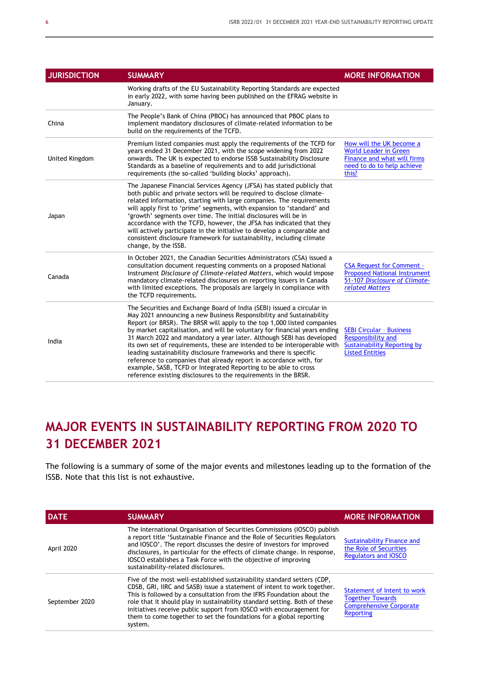| <b>JURISDICTION</b> | <b>SUMMARY</b>                                                                                                                                                                                                                                                                                                                                                                                                                                                                                                                                                                                                                                                                                                                                 | <b>MORE INFORMATION</b>                                                                                                        |
|---------------------|------------------------------------------------------------------------------------------------------------------------------------------------------------------------------------------------------------------------------------------------------------------------------------------------------------------------------------------------------------------------------------------------------------------------------------------------------------------------------------------------------------------------------------------------------------------------------------------------------------------------------------------------------------------------------------------------------------------------------------------------|--------------------------------------------------------------------------------------------------------------------------------|
|                     | Working drafts of the EU Sustainability Reporting Standards are expected<br>in early 2022, with some having been published on the EFRAG website in<br>January.                                                                                                                                                                                                                                                                                                                                                                                                                                                                                                                                                                                 |                                                                                                                                |
| China               | The People's Bank of China (PBOC) has announced that PBOC plans to<br>implement mandatory disclosures of climate-related information to be<br>build on the requirements of the TCFD.                                                                                                                                                                                                                                                                                                                                                                                                                                                                                                                                                           |                                                                                                                                |
| United Kingdom      | Premium listed companies must apply the requirements of the TCFD for<br>years ended 31 December 2021, with the scope widening from 2022<br>onwards. The UK is expected to endorse ISSB Sustainability Disclosure<br>Standards as a baseline of requirements and to add jurisdictional<br>requirements (the so-called 'building blocks' approach).                                                                                                                                                                                                                                                                                                                                                                                              | How will the UK become a<br><b>World Leader in Green</b><br>Finance and what will firms<br>need to do to help achieve<br>this? |
| Japan               | The Japanese Financial Services Agency (JFSA) has stated publicly that<br>both public and private sectors will be required to disclose climate-<br>related information, starting with large companies. The requirements<br>will apply first to 'prime' segments, with expansion to 'standard' and<br>'growth' segments over time. The initial disclosures will be in<br>accordance with the TCFD, however, the JFSA has indicated that they<br>will actively participate in the initiative to develop a comparable and<br>consistent disclosure framework for sustainability, including climate<br>change, by the ISSB.                                                                                                                        |                                                                                                                                |
| Canada              | In October 2021, the Canadian Securities Administrators (CSA) issued a<br>consultation document requesting comments on a proposed National<br>Instrument Disclosure of Climate-related Matters, which would impose<br>mandatory climate-related disclosures on reporting issuers in Canada<br>with limited exceptions. The proposals are largely in compliance with<br>the TCFD requirements.                                                                                                                                                                                                                                                                                                                                                  | <b>CSA Request for Comment -</b><br><b>Proposed National Instrument</b><br>51-107 Disclosure of Climate-<br>related Matters    |
| India               | The Securities and Exchange Board of India (SEBI) issued a circular in<br>May 2021 announcing a new Business Responsibility and Sustainability<br>Report (or BRSR). The BRSR will apply to the top 1,000 listed companies<br>by market capitalisation, and will be voluntary for financial years ending<br>31 March 2022 and mandatory a year later. Although SEBI has developed<br>its own set of requirements, these are intended to be interoperable with<br>leading sustainability disclosure frameworks and there is specific<br>reference to companies that already report in accordance with, for<br>example, SASB, TCFD or Integrated Reporting to be able to cross<br>reference existing disclosures to the requirements in the BRSR. | <b>SEBI Circular - Business</b><br>Responsibility and<br>Sustainability Reporting by<br><b>Listed Entities</b>                 |

## **MAJOR EVENTS IN SUSTAINABILITY REPORTING FROM 2020 TO 31 DECEMBER 2021**

The following is a summary of some of the major events and milestones leading up to the formation of the ISSB. Note that this list is not exhaustive.

| <b>DATE</b>    | <b>SUMMARY</b>                                                                                                                                                                                                                                                                                                                                                                                                                                                      | <b>MORE INFORMATION</b>                                                                                      |
|----------------|---------------------------------------------------------------------------------------------------------------------------------------------------------------------------------------------------------------------------------------------------------------------------------------------------------------------------------------------------------------------------------------------------------------------------------------------------------------------|--------------------------------------------------------------------------------------------------------------|
| April 2020     | The International Organisation of Securities Commissions (IOSCO) publish<br>a report title 'Sustainable Finance and the Role of Securities Regulators<br>and IOSCO'. The report discusses the desire of investors for improved<br>disclosures, in particular for the effects of climate change. In response,<br>IOSCO establishes a Task Force with the objective of improving<br>sustainability-related disclosures.                                               | <b>Sustainability Finance and</b><br>the Role of Securities<br><b>Regulators and IOSCO</b>                   |
| September 2020 | Five of the most well-established sustainability standard setters (CDP,<br>CDSB, GRI, IIRC and SASB) issue a statement of intent to work together.<br>This is followed by a consultation from the IFRS Foundation about the<br>role that it should play in sustainability standard setting. Both of these<br>initiatives receive public support from IOSCO with encouragement for<br>them to come together to set the foundations for a global reporting<br>system. | Statement of Intent to work<br><b>Together Towards</b><br><b>Comprehensive Corporate</b><br><b>Reporting</b> |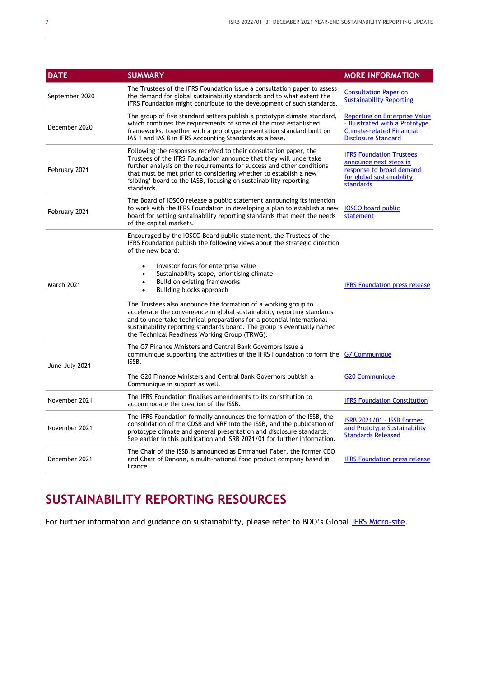| <b>DATE</b>       | <b>SUMMARY</b>                                                                                                                                                                                                                                                                                                                                                                                                                                                                                                                                                                                                                                                                                     | <b>MORE INFORMATION</b>                                                                                                                  |
|-------------------|----------------------------------------------------------------------------------------------------------------------------------------------------------------------------------------------------------------------------------------------------------------------------------------------------------------------------------------------------------------------------------------------------------------------------------------------------------------------------------------------------------------------------------------------------------------------------------------------------------------------------------------------------------------------------------------------------|------------------------------------------------------------------------------------------------------------------------------------------|
| September 2020    | The Trustees of the IFRS Foundation issue a consultation paper to assess<br>the demand for global sustainability standards and to what extent the<br>IFRS Foundation might contribute to the development of such standards.                                                                                                                                                                                                                                                                                                                                                                                                                                                                        | <b>Consultation Paper on</b><br><b>Sustainability Reporting</b>                                                                          |
| December 2020     | The group of five standard setters publish a prototype climate standard,<br>which combines the requirements of some of the most established<br>frameworks, together with a prototype presentation standard built on<br>IAS 1 and IAS 8 in IFRS Accounting Standards as a base.                                                                                                                                                                                                                                                                                                                                                                                                                     | <b>Reporting on Enterprise Value</b><br>- Illustrated with a Prototype<br><b>Climate-related Financial</b><br><b>Disclosure Standard</b> |
| February 2021     | Following the responses received to their consultation paper, the<br>Trustees of the IFRS Foundation announce that they will undertake<br>further analysis on the requirements for success and other conditions<br>that must be met prior to considering whether to establish a new<br>'sibling' board to the IASB, focusing on sustainability reporting<br>standards.                                                                                                                                                                                                                                                                                                                             | <b>IFRS Foundation Trustees</b><br>announce next steps in<br>response to broad demand<br>for global sustainability<br><b>standards</b>   |
| February 2021     | The Board of IOSCO release a public statement announcing its intention<br>to work with the IFRS Foundation in developing a plan to establish a new<br>board for setting sustainability reporting standards that meet the needs<br>of the capital markets.                                                                                                                                                                                                                                                                                                                                                                                                                                          | <b>IOSCO</b> board public<br>statement                                                                                                   |
| <b>March 2021</b> | Encouraged by the IOSCO Board public statement, the Trustees of the<br>IFRS Foundation publish the following views about the strategic direction<br>of the new board:<br>Investor focus for enterprise value<br>$\bullet$<br>Sustainability scope, prioritising climate<br>Build on existing frameworks<br>$\bullet$<br>Building blocks approach<br>The Trustees also announce the formation of a working group to<br>accelerate the convergence in global sustainability reporting standards<br>and to undertake technical preparations for a potential international<br>sustainability reporting standards board. The group is eventually named<br>the Technical Readiness Working Group (TRWG). | <b>IFRS Foundation press release</b>                                                                                                     |
| June-July 2021    | The G7 Finance Ministers and Central Bank Governors issue a<br>communique supporting the activities of the IFRS Foundation to form the G7 Communique<br>ISSB.<br>The G20 Finance Ministers and Central Bank Governors publish a<br>Communique in support as well.                                                                                                                                                                                                                                                                                                                                                                                                                                  | <b>G20 Communique</b>                                                                                                                    |
| November 2021     | The IFRS Foundation finalises amendments to its constitution to<br>accommodate the creation of the ISSB.                                                                                                                                                                                                                                                                                                                                                                                                                                                                                                                                                                                           | <b>IFRS Foundation Constitution</b>                                                                                                      |
| November 2021     | The IFRS Foundation formally announces the formation of the ISSB, the<br>consolidation of the CDSB and VRF into the ISSB, and the publication of<br>prototype climate and general presentation and disclosure standards.<br>See earlier in this publication and ISRB 2021/01 for further information.                                                                                                                                                                                                                                                                                                                                                                                              | ISRB 2021/01 - ISSB Formed<br>and Prototype Sustainability<br><b>Standards Released</b>                                                  |
| December 2021     | The Chair of the ISSB is announced as Emmanuel Faber, the former CEO<br>and Chair of Danone, a multi-national food product company based in<br>France.                                                                                                                                                                                                                                                                                                                                                                                                                                                                                                                                             | <b>IFRS Foundation press release</b>                                                                                                     |

## **SUSTAINABILITY REPORTING RESOURCES**

For further information and guidance on sustainability, please refer to BDO's Global [IFRS Micro-site.](https://www.bdo.global/en-gb/microsites/ifrs/resource-library?tag=sustainabilityreporting)